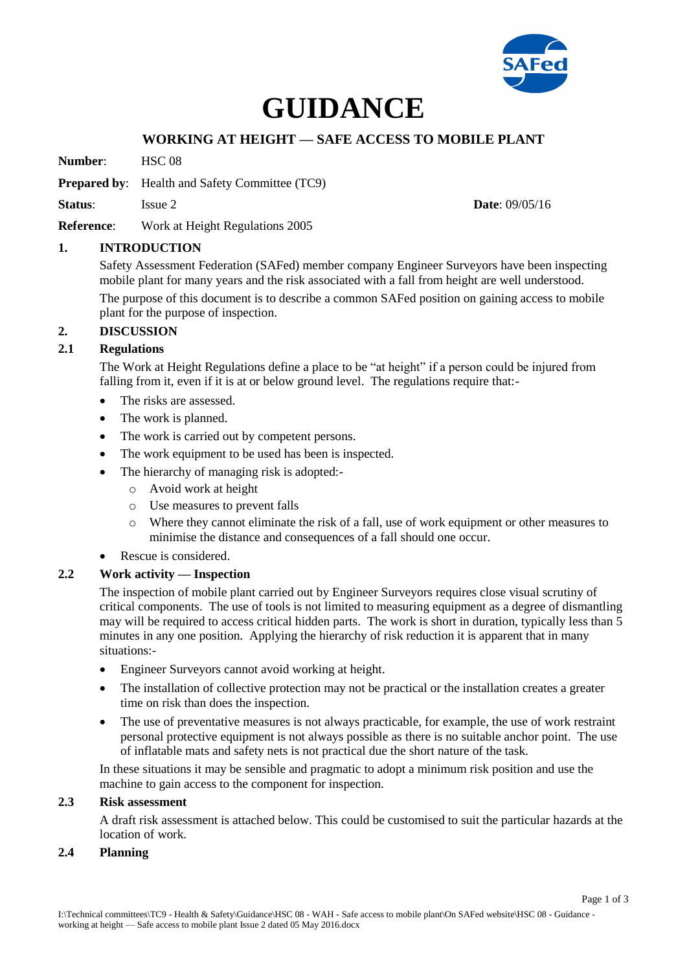

# **GUIDANCE**

# **WORKING AT HEIGHT — SAFE ACCESS TO MOBILE PLANT**

**Number**: HSC 08

**Prepared by:** Health and Safety Committee (TC9)

**Status**: Issue 2 **Date**: 09/05/16

**Reference**: Work at Height Regulations 2005

### **1. INTRODUCTION**

Safety Assessment Federation (SAFed) member company Engineer Surveyors have been inspecting mobile plant for many years and the risk associated with a fall from height are well understood.

The purpose of this document is to describe a common SAFed position on gaining access to mobile plant for the purpose of inspection.

### **2. DISCUSSION**

## **2.1 Regulations**

The Work at Height Regulations define a place to be "at height" if a person could be injured from falling from it, even if it is at or below ground level. The regulations require that:-

- The risks are assessed.
- The work is planned.
- The work is carried out by competent persons.
- The work equipment to be used has been is inspected.
- The hierarchy of managing risk is adopted:
	- o Avoid work at height
	- o Use measures to prevent falls
	- o Where they cannot eliminate the risk of a fall, use of work equipment or other measures to minimise the distance and consequences of a fall should one occur.
- Rescue is considered.

# **2.2 Work activity — Inspection**

The inspection of mobile plant carried out by Engineer Surveyors requires close visual scrutiny of critical components. The use of tools is not limited to measuring equipment as a degree of dismantling may will be required to access critical hidden parts. The work is short in duration, typically less than 5 minutes in any one position. Applying the hierarchy of risk reduction it is apparent that in many situations:-

- Engineer Surveyors cannot avoid working at height.
- The installation of collective protection may not be practical or the installation creates a greater time on risk than does the inspection.
- The use of preventative measures is not always practicable, for example, the use of work restraint personal protective equipment is not always possible as there is no suitable anchor point. The use of inflatable mats and safety nets is not practical due the short nature of the task.

In these situations it may be sensible and pragmatic to adopt a minimum risk position and use the machine to gain access to the component for inspection.

# **2.3 Risk assessment**

A draft risk assessment is attached below. This could be customised to suit the particular hazards at the location of work.

## **2.4 Planning**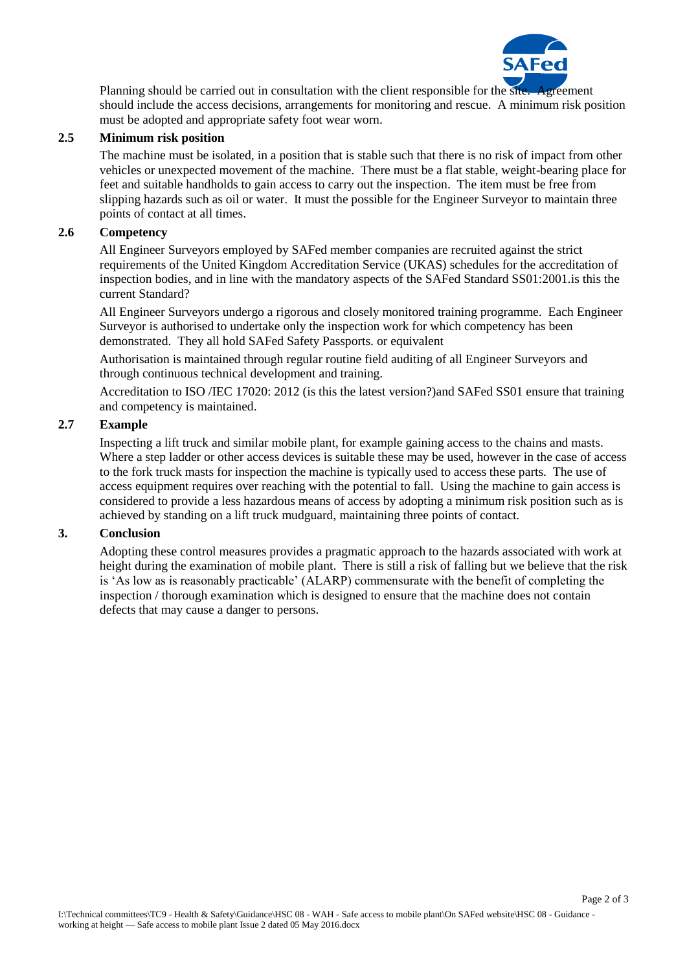

Page 2 of 3

Planning should be carried out in consultation with the client responsible for the site. Agreement should include the access decisions, arrangements for monitoring and rescue. A minimum risk position must be adopted and appropriate safety foot wear worn.

## **2.5 Minimum risk position**

The machine must be isolated, in a position that is stable such that there is no risk of impact from other vehicles or unexpected movement of the machine. There must be a flat stable, weight-bearing place for feet and suitable handholds to gain access to carry out the inspection. The item must be free from slipping hazards such as oil or water. It must the possible for the Engineer Surveyor to maintain three points of contact at all times.

## **2.6 Competency**

All Engineer Surveyors employed by SAFed member companies are recruited against the strict requirements of the United Kingdom Accreditation Service (UKAS) schedules for the accreditation of inspection bodies, and in line with the mandatory aspects of the SAFed Standard SS01:2001.is this the current Standard?

All Engineer Surveyors undergo a rigorous and closely monitored training programme. Each Engineer Surveyor is authorised to undertake only the inspection work for which competency has been demonstrated. They all hold SAFed Safety Passports. or equivalent

Authorisation is maintained through regular routine field auditing of all Engineer Surveyors and through continuous technical development and training.

Accreditation to ISO /IEC 17020: 2012 (is this the latest version?)and SAFed SS01 ensure that training and competency is maintained.

## **2.7 Example**

Inspecting a lift truck and similar mobile plant, for example gaining access to the chains and masts. Where a step ladder or other access devices is suitable these may be used, however in the case of access to the fork truck masts for inspection the machine is typically used to access these parts. The use of access equipment requires over reaching with the potential to fall. Using the machine to gain access is considered to provide a less hazardous means of access by adopting a minimum risk position such as is achieved by standing on a lift truck mudguard, maintaining three points of contact.

### **3. Conclusion**

Adopting these control measures provides a pragmatic approach to the hazards associated with work at height during the examination of mobile plant. There is still a risk of falling but we believe that the risk is 'As low as is reasonably practicable' (ALARP) commensurate with the benefit of completing the inspection / thorough examination which is designed to ensure that the machine does not contain defects that may cause a danger to persons.